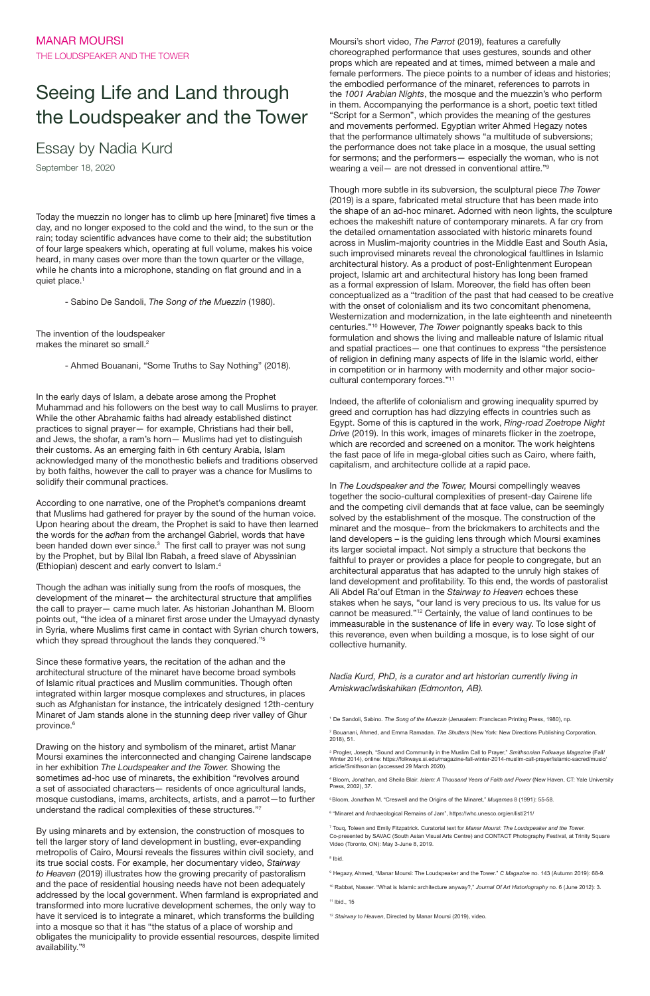Today the muezzin no longer has to climb up here [minaret] five times a day, and no longer exposed to the cold and the wind, to the sun or the rain; today scientific advances have come to their aid; the substitution of four large speakers which, operating at full volume, makes his voice heard, in many cases over more than the town quarter or the village, while he chants into a microphone, standing on flat ground and in a quiet place.<sup>1</sup>

## Seeing Life and Land through the Loudspeaker and the Tower

## Essay by Nadia Kurd

September 18, 2020

The invention of the loudspeaker makes the minaret so small.<sup>2</sup>

- Sabino De Sandoli, *The Song of the Muezzin* (1980).

- Ahmed Bouanani, "Some Truths to Say Nothing" (2018).

Though the adhan was initially sung from the roofs of mosques, the development of the minaret— the architectural structure that amplifies the call to prayer— came much later. As historian Johanthan M. Bloom points out, "the idea of a minaret first arose under the Umayyad dynasty in Syria, where Muslims first came in contact with Syrian church towers, which they spread throughout the lands they conquered."<sup>5</sup>

In the early days of Islam, a debate arose among the Prophet Muhammad and his followers on the best way to call Muslims to prayer. While the other Abrahamic faiths had already established distinct practices to signal prayer— for example, Christians had their bell, and Jews, the shofar, a ram's horn— Muslims had yet to distinguish their customs. As an emerging faith in 6th century Arabia, Islam acknowledged many of the monothestic beliefs and traditions observed by both faiths, however the call to prayer was a chance for Muslims to solidify their communal practices.

According to one narrative, one of the Prophet's companions dreamt that Muslims had gathered for prayer by the sound of the human voice. Upon hearing about the dream, the Prophet is said to have then learned the words for the *adhan* from the archangel Gabriel, words that have been handed down ever since.<sup>3</sup> The first call to prayer was not sung by the Prophet, but by Bilal Ibn Rabah, a freed slave of Abyssinian (Ethiopian) descent and early convert to Islam.<sup>4</sup>

Since these formative years, the recitation of the adhan and the architectural structure of the minaret have become broad symbols of Islamic ritual practices and Muslim communities. Though often integrated within larger mosque complexes and structures, in places such as Afghanistan for instance, the intricately designed 12th-century Minaret of Jam stands alone in the stunning deep river valley of Ghur

Drawing on the history and symbolism of the minaret, artist Manar Moursi examines the interconnected and changing Cairene landscape in her exhibition *The Loudspeaker and the Tower.* Showing the sometimes ad-hoc use of minarets, the exhibition "revolves around a set of associated characters— residents of once agricultural lands, mosque custodians, imams, architects, artists, and a parrot—to further understand the radical complexities of these structures."<sup>7</sup>

By using minarets and by extension, the construction of mosques to tell the larger story of land development in bustling, ever-expanding metropolis of Cairo, Moursi reveals the fissures within civil society, and its true social costs. For example, her documentary video, *Stairway to Heaven* (2019) illustrates how the growing precarity of pastoralism and the pace of residential housing needs have not been adequately addressed by the local government. When farmland is expropriated and transformed into more lucrative development schemes, the only way to have it serviced is to integrate a minaret, which transforms the building into a mosque so that it has "the status of a place of worship and obligates the municipality to provide essential resources, despite limited availability."<sup>8</sup>

Moursi's short video, *The Parrot* (2019), features a carefully choreographed performance that uses gestures, sounds and other props which are repeated and at times, mimed between a male and female performers. The piece points to a number of ideas and histories; the embodied performance of the minaret, references to parrots in the *1001 Arabian Nights*, the mosque and the muezzin's who perform in them. Accompanying the performance is a short, poetic text titled "Script for a Sermon", which provides the meaning of the gestures and movements performed. Egyptian writer Ahmed Hegazy notes that the performance ultimately shows "a multitude of subversions; the performance does not take place in a mosque, the usual setting for sermons; and the performers— especially the woman, who is not wearing a veil— are not dressed in conventional attire."<sup>9</sup>

10 Rabbat, Nasser. "What is Islamic architecture anyway?," *Journal Of Art Historiography* no. 6 (June 2012): 3. <sup>11</sup> Ibid., 15

Though more subtle in its subversion, the sculptural piece *The Tower*  (2019) is a spare, fabricated metal structure that has been made into the shape of an ad-hoc minaret. Adorned with neon lights, the sculpture echoes the makeshift nature of contemporary minarets. A far cry from the detailed ornamentation associated with historic minarets found across in Muslim-majority countries in the Middle East and South Asia, such improvised minarets reveal the chronological faultlines in Islamic architectural history. As a product of post-Enlightenment European project, Islamic art and architectural history has long been framed as a formal expression of Islam. Moreover, the field has often been conceptualized as a "tradition of the past that had ceased to be creative with the onset of colonialism and its two concomitant phenomena, Westernization and modernization, in the late eighteenth and nineteenth centuries."<sup>10</sup> However, *The Tower* poignantly speaks back to this formulation and shows the living and malleable nature of Islamic ritual and spatial practices— one that continues to express "the persistence of religion in defining many aspects of life in the Islamic world, either in competition or in harmony with modernity and other major sociocultural contemporary forces."<sup>11</sup>

Indeed, the afterlife of colonialism and growing inequality spurred by greed and corruption has had dizzying effects in countries such as Egypt. Some of this is captured in the work, *Ring-road Zoetrope Night Drive* (2019). In this work, images of minarets flicker in the zoetrope, which are recorded and screened on a monitor. The work heightens the fast pace of life in mega-global cities such as Cairo, where faith, capitalism, and architecture collide at a rapid pace.

In *The Loudspeaker and the Tower,* Moursi compellingly weaves together the socio-cultural complexities of present-day Cairene life and the competing civil demands that at face value, can be seemingly solved by the establishment of the mosque. The construction of the minaret and the mosque– from the brickmakers to architects and the land developers – is the guiding lens through which Moursi examines its larger societal impact. Not simply a structure that beckons the faithful to prayer or provides a place for people to congregate, but an architectural apparatus that has adapted to the unruly high stakes of land development and profitability. To this end, the words of pastoralist Ali Abdel Ra'ouf Etman in the *Stairway to Heaven* echoes these stakes when he says, "our land is very precious to us. Its value for us cannot be measured."<sup>12</sup> Certainly, the value of land continues to be immeasurable in the sustenance of life in every way. To lose sight of this reverence, even when building a mosque, is to lose sight of our collective humanity.

*Nadia Kurd, PhD, is a curator and art historian currently living in Amiskwacîwâskahikan (Edmonton, AB).* 

1 De Sandoli, Sabino. *The Song of the Muezzin* (Jerusalem: Franciscan Printing Press, 1980), np.

province.<sup>6</sup>

2 Bouanani, Ahmed, and Emma Ramadan. *The Shutters* (New York: New Directions Publishing Corporation, 2018), 51.

3 Progler, Joseph, "Sound and Community in the Muslim Call to Prayer," *Smithsonian Folkways Magazine* (Fall/ Winter 2014), online: https://folkways.si.edu/magazine-fall-winter-2014-muslim-call-prayer/islamic-sacred/music/ article/Smithsonian (accessed 29 March 2020).

4 Bloom, Jonathan, and Sheila Blair. *Islam: A Thousand Years of Faith and Power* (New Haven, CT: Yale University Press, 2002), 37.

5 Bloom, Jonathan M. "Creswell and the Origins of the Minaret," *Muqarnas* 8 (1991): 55-58.

6 "Minaret and Archaeological Remains of Jam", https://whc.unesco.org/en/list/211/

7 Touq, Toleen and Emily Fitzpatrick. Curatorial text for *Manar Moursi: The Loudspeaker and the Tower.*  Co-presented by SAVAC (South Asian Visual Arts Centre) and CONTACT Photography Festival, at Trinity Square Video (Toronto, ON): May 3-June 8, 2019.

8 Ibid.

9 Hegazy, Ahmed, "Manar Moursi: The Loudspeaker and the Tower." *C Magazine* no. 143 (Autumn 2019): 68-9.

<sup>12</sup> *Stairway to Heaven*, Directed by Manar Moursi (2019), video.